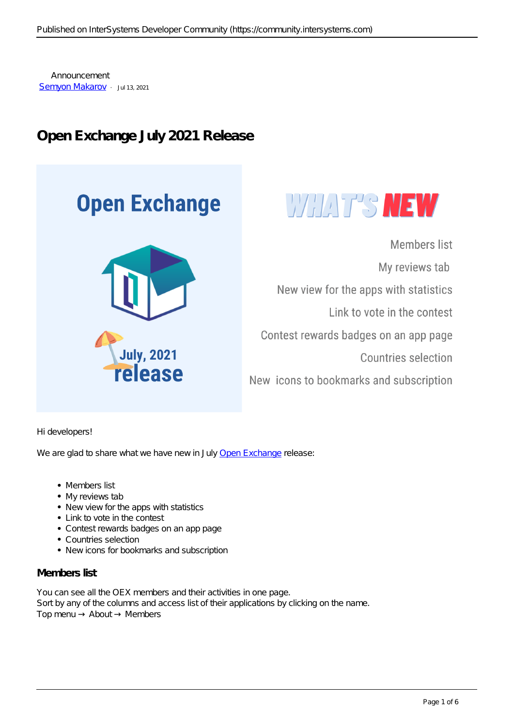Announcement [Semyon Makarov](https://community.intersystems.com/user/semyon-makarov-0) · Jul 13, 2021

# **Open Exchange July 2021 Release**





Members list My reviews tab New view for the apps with statistics Link to vote in the contest Contest rewards badges on an app page **Countries selection** New icons to bookmarks and subscription

Hi developers!

We are glad to share what we have new in July [Open Exchange](https://openexchange.intersystems.com/) release:

- Members list
- My reviews tab
- New view for the apps with statistics
- Link to vote in the contest
- Contest rewards badges on an app page
- Countries selection
- New icons for bookmarks and subscription

#### **Members list**

You can see all the OEX members and their activities in one page. Sort by any of the columns and access list of their applications by clicking on the name. Top menu About Members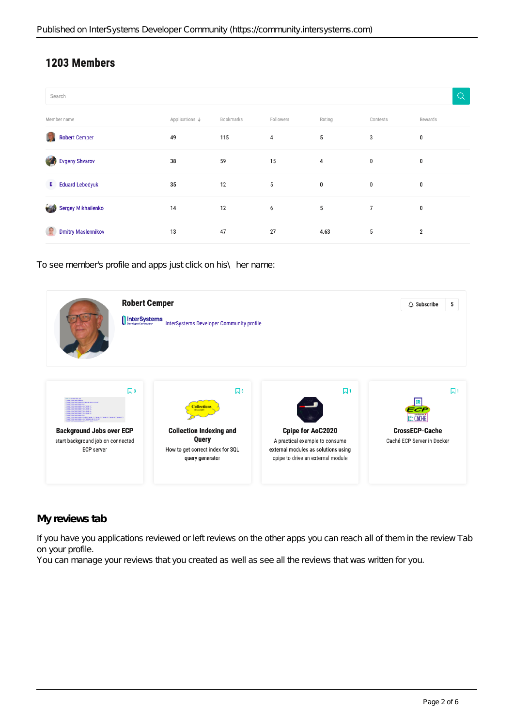# 1203 Members

| Search                            |                |           |           |        |          | $\Omega$       |
|-----------------------------------|----------------|-----------|-----------|--------|----------|----------------|
| Member name                       | Applications ↓ | Bookmarks | Followers | Rating | Contests | Rewards        |
| <b>Robert Cemper</b>              | 49             | 115       | 4         | 5      | 3        | 0              |
| <b>Evgeny Shvarov</b><br>7        | 38             | 59        | 15        | 4      | 0        | 0              |
| <b>E</b> Eduard Lebedyuk          | 35             | 12        | 5         | 0      | 0        | 0              |
| Sergey Mikhailenko<br><b>STAR</b> | 14             | 12        | 6         | 5      | 7        | 0              |
| <b>Dmitry Maslennikov</b>         | 13             | 47        | 27        | 4.63   | 5        | $\overline{2}$ |

To see member's profile and apps just click on his\ her name:



### **My reviews tab**

If you have you applications reviewed or left reviews on the other apps you can reach all of them in the review Tab on your profile.

You can manage your reviews that you created as well as see all the reviews that was written for you.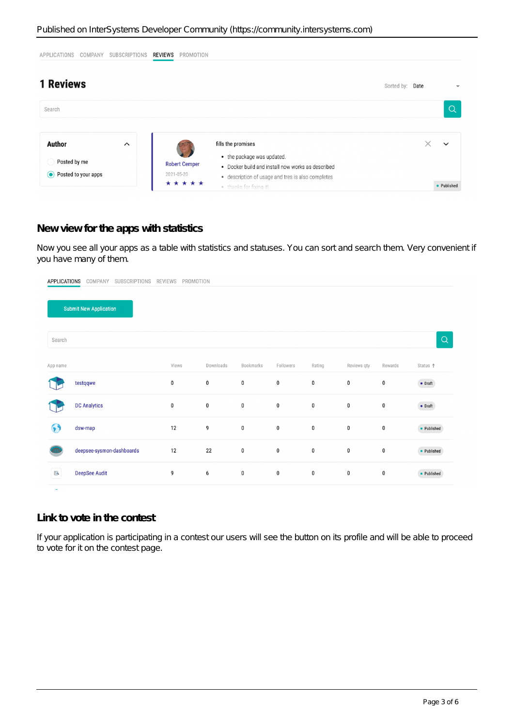| <b>APPLICATIONS</b>            | COMPANY | <b>SUBSCRIPTIONS</b> | REVIEWS<br>PROMOTION |                                                                                 |                 |              |
|--------------------------------|---------|----------------------|----------------------|---------------------------------------------------------------------------------|-----------------|--------------|
| <b>1 Reviews</b>               |         |                      |                      |                                                                                 | Sorted by: Date |              |
| Search                         |         |                      |                      |                                                                                 |                 | $\alpha$     |
| <b>Author</b>                  |         | $\hat{\phantom{1}}$  |                      | fills the promises                                                              |                 | $\checkmark$ |
| Posted by me                   |         |                      | <b>Robert Cemper</b> | • the package was updated.<br>• Docker build and install now works as described |                 |              |
| $\odot$<br>Posted to your apps |         |                      | 2021-05-20           | • description of usage and tres is also completes                               |                 |              |
|                                |         |                      | *****                | · thanks for fixing it!                                                         |                 | • Published  |

### **New view for the apps with statistics**

Now you see all your apps as a table with statistics and statuses. You can sort and search them. Very convenient if you have many of them.

| <b>APPLICATIONS</b> | COMPANY<br>SUBSCRIPTIONS      | PROMOTION<br><b>REVIEWS</b> |           |           |             |           |             |         |                 |
|---------------------|-------------------------------|-----------------------------|-----------|-----------|-------------|-----------|-------------|---------|-----------------|
|                     | <b>Submit New Application</b> |                             |           |           |             |           |             |         |                 |
| Search              |                               |                             |           |           |             |           |             |         | Q               |
| App name            |                               | Views                       | Downloads | Bookmarks | Followers   | Rating    | Reviews qty | Rewards | Status ↑        |
|                     | testqqwe                      | $\pmb{0}$                   | $\pmb{0}$ | $\pmb{0}$ | 0           | 0         | 0           | 0       | $\bullet$ Draft |
|                     | <b>DC Analytics</b>           | $\pmb{0}$                   | $\pmb{0}$ | $\pmb{0}$ | $\pmb{0}$   | $\bf{0}$  | $\pmb{0}$   | 0       | $\bullet$ Draft |
| 69                  | dsw-map                       | 12                          | 9         | $\pmb{0}$ | $\mathbf 0$ | $\bf{0}$  | 0           | 0       | • Published     |
|                     | deepsee-sysmon-dashboards     | 12                          | 22        | $\pmb{0}$ | $\pmb{0}$   | 0         | 0           | 0       | • Published     |
| $\mathbb{R}$        | <b>DeepSee Audit</b>          | 9                           | 6         | $\pmb{0}$ | $\pmb{0}$   | $\pmb{0}$ | $\pmb{0}$   | 0       | • Published     |
|                     |                               |                             |           |           |             |           |             |         |                 |

#### **Link to vote in the contest**

If your application is participating in a contest our users will see the button on its profile and will be able to proceed to vote for it on the contest page.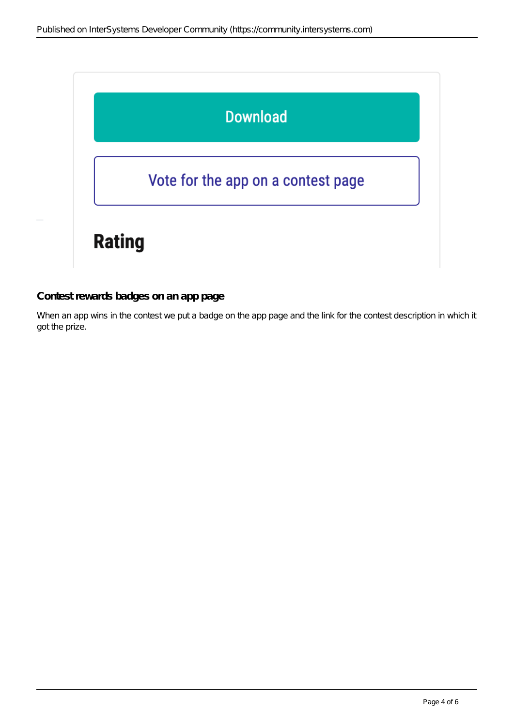

#### **Contest rewards badges on an app page**

When an app wins in the contest we put a badge on the app page and the link for the contest description in which it got the prize.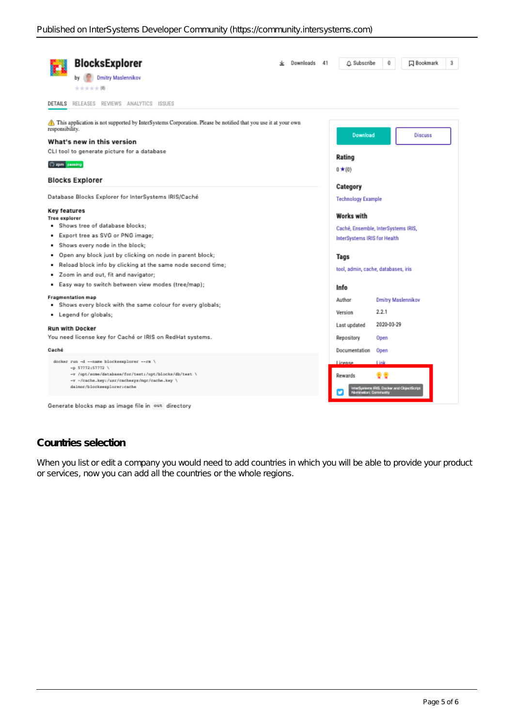| <b>BlocksExplorer</b><br>Downloads<br><b>Dmitry Maslennikov</b><br>大大大大大関                                                                                                                                                                                                                                                                                                                                                                                                                                                                                                                                    | A Subscribe<br>0<br><b>ス</b> Bookmark<br>3<br>41                                                                                                                                                                                                        |
|--------------------------------------------------------------------------------------------------------------------------------------------------------------------------------------------------------------------------------------------------------------------------------------------------------------------------------------------------------------------------------------------------------------------------------------------------------------------------------------------------------------------------------------------------------------------------------------------------------------|---------------------------------------------------------------------------------------------------------------------------------------------------------------------------------------------------------------------------------------------------------|
| DETAILS<br>RELEASES REVIEWS ANALYTICS ISSUES                                                                                                                                                                                                                                                                                                                                                                                                                                                                                                                                                                 |                                                                                                                                                                                                                                                         |
| This application is not supported by InterSystems Corporation. Please be notified that you use it at your own<br>responsibility.<br>What's new in this version<br>CLI tool to generate picture for a database<br>C zpm pessing                                                                                                                                                                                                                                                                                                                                                                               | Download<br><b>Discuss</b><br>Rating<br>$0 \star (0)$                                                                                                                                                                                                   |
| <b>Blocks Explorer</b>                                                                                                                                                                                                                                                                                                                                                                                                                                                                                                                                                                                       | Category                                                                                                                                                                                                                                                |
| Database Blocks Explorer for InterSystems IRIS/Caché                                                                                                                                                                                                                                                                                                                                                                                                                                                                                                                                                         | <b>Technology Example</b>                                                                                                                                                                                                                               |
| Key features<br><b>Tree explorer</b><br>. Shows tree of database blocks;<br>Export tree as SVG or PNG image;<br>٠<br>Shows every node in the block;<br>Open any block just by clicking on node in parent block;<br>۰<br>Reload block info by clicking at the same node second time;<br>٠<br>Zoom in and out, fit and navigator;<br>٠<br>Easy way to switch between view modes (tree/map);<br>٠<br><b>Fragmentation map</b><br>Shows every block with the same colour for every globals;<br>٠<br>• Legend for globals;<br><b>Run with Docker</b><br>You need license key for Caché or IRIS on RedHat systems. | <b>Works with</b><br>Caché, Ensemble, InterSystems IRIS,<br>InterSystems IRIS for Health<br>Tags<br>tool, admin, cache, databases, iris<br>Info<br>Author<br>Dmitry Maslennikov<br>2.2.1<br>Version<br>2020-03-29<br>Last updated<br>Repository<br>Open |
| Caché<br>docker run -d --name blocksexplorer --rm \<br>$-p$ 57772:57772 \<br>-v /opt/some/database/for/test:/opt/blocks/db/test \<br>-v -/cache.key:/usr/cachesys/mgr/cache.key \<br>daimor/blocksexplorer:cache<br>Generate blocks map as image file in out directory                                                                                                                                                                                                                                                                                                                                       | Documentation<br>Open<br>license<br>Link<br>Rewards<br>a 1985. Docker and Objectionpl                                                                                                                                                                   |

## **Countries selection**

When you list or edita company you would need to add countries in which you will be able to provide your product or services, now you can add all the countries or the whole regions.